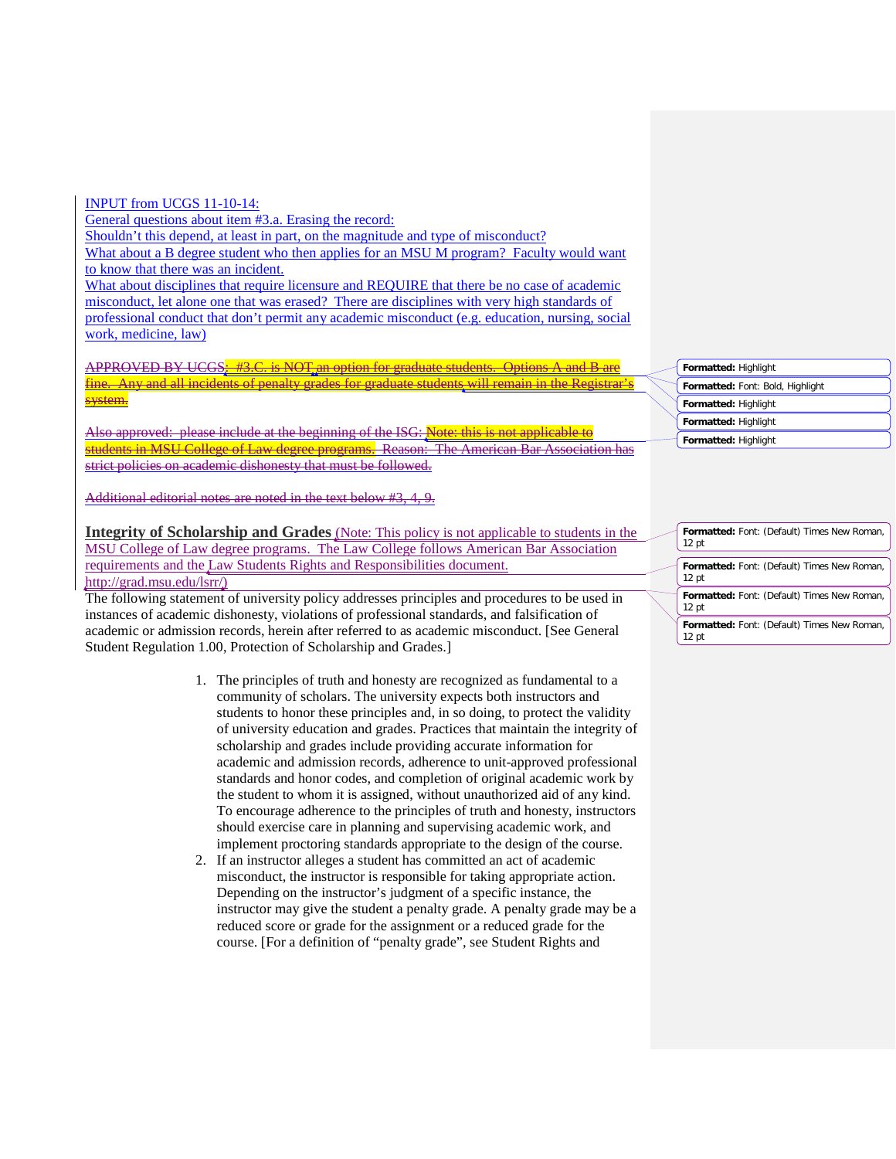INPUT from UCGS 11-10-14: General questions about item #3.a. Erasing the record: Shouldn't this depend, at least in part, on the magnitude and type of misconduct? What about a B degree student who then applies for an MSU M program? Faculty would want to know that there was an incident. What about disciplines that require licensure and REQUIRE that there be no case of academic misconduct, let alone one that was erased? There are disciplines with very high standards of professional conduct that don't permit any academic misconduct (e.g. education, nursing, social work, medicine, law)

APPROVED BY UCGS: #3.C. is NOT an option for graduate students. Options A and B are fine. Any and all incidents of penalty grades for graduate students will remain in the Registrar system.

Also approved: please include at the beginning of the ISG: Note: this is not applicable to students in MSU College of Law degree programs. Reason: The American Bar Association has strict policies on academic dishonesty that must be followed.

Additional editorial notes are noted in the text below #3, 4, 9.

**Integrity of Scholarship and Grades** (Note: This policy is not applicable to students in the MSU College of Law degree programs. The Law College follows American Bar Association requirements and the Law Students Rights and Responsibilities document. [http://grad.msu.edu/lsrr/\)](http://grad.msu.edu/lsrr/)

The following statement of university policy addresses principles and procedures to be used in instances of academic dishonesty, violations of professional standards, and falsification of academic or admission records, herein after referred to as academic misconduct. [See General Student Regulation 1.00, Protection of Scholarship and Grades.]

- 1. The principles of truth and honesty are recognized as fundamental to a community of scholars. The university expects both instructors and students to honor these principles and, in so doing, to protect the validity of university education and grades. Practices that maintain the integrity of scholarship and grades include providing accurate information for academic and admission records, adherence to unit-approved professional standards and honor codes, and completion of original academic work by the student to whom it is assigned, without unauthorized aid of any kind. To encourage adherence to the principles of truth and honesty, instructors should exercise care in planning and supervising academic work, and implement proctoring standards appropriate to the design of the course.
- 2. If an instructor alleges a student has committed an act of academic misconduct, the instructor is responsible for taking appropriate action. Depending on the instructor's judgment of a specific instance, the instructor may give the student a penalty grade. A penalty grade may be a reduced score or grade for the assignment or a reduced grade for the course. [For a definition of "penalty grade", see Student Rights and

| Formatted: Font: (Default) Times New Roman,<br>$12$ pt                 |
|------------------------------------------------------------------------|
|                                                                        |
| <b>Formatted:</b> Font: (Default) Times New Roman.<br>12 <sub>pt</sub> |
| <b>Formatted:</b> Font: (Default) Times New Roman.<br>12 <sub>pt</sub> |

**Formatted:** Highlight

**Formatted:** Highlight **Formatted:** Highlight **Formatted:** Highlight

**Formatted:** Font: Bold, Highlight

| Formatted: Font: (Default) Times New Roman, |  |  |
|---------------------------------------------|--|--|
| 12 <sub>pt</sub>                            |  |  |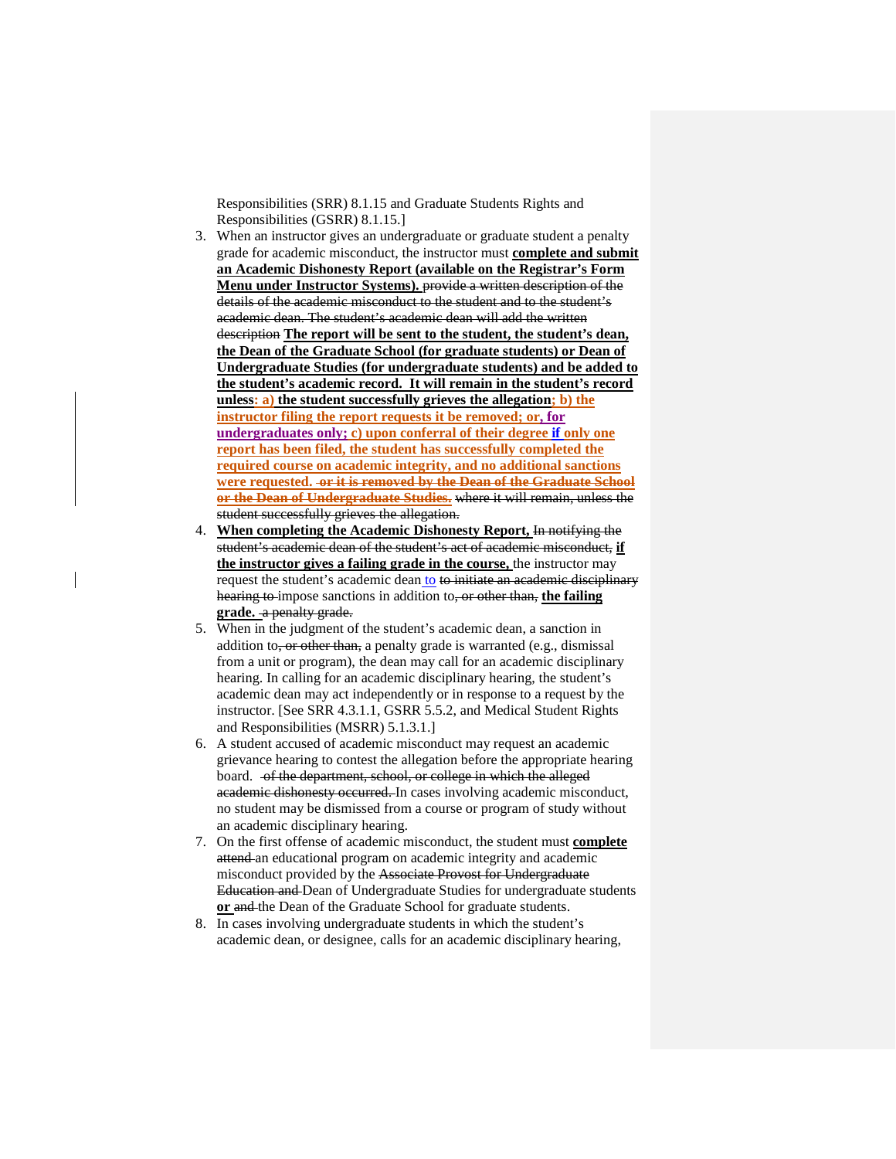Responsibilities (SRR) 8.1.15 and Graduate Students Rights and Responsibilities (GSRR) 8.1.15.]

- 3. When an instructor gives an undergraduate or graduate student a penalty grade for academic misconduct, the instructor must **complete and submit an Academic Dishonesty Report (available on the Registrar's Form Menu under Instructor Systems).** provide a written description of the details of the academic misconduct to the student and to the student's academic dean. The student's academic dean will add the written description **The report will be sent to the student, the student's dean, the Dean of the Graduate School (for graduate students) or Dean of Undergraduate Studies (for undergraduate students) and be added to the student's academic record. It will remain in the student's record unless: a) the student successfully grieves the allegation; b) the instructor filing the report requests it be removed; or, for undergraduates only; c) upon conferral of their degree if only one report has been filed, the student has successfully completed the required course on academic integrity, and no additional sanctions were requested. or it is removed by the Dean of the Graduate School or the Dean of Undergraduate Studies.** where it will remain, unless the student successfully grieves the allegation.
- 4. **When completing the Academic Dishonesty Report,** In notifying the student's academic dean of the student's act of academic misconduct, **if the instructor gives a failing grade in the course,** the instructor may request the student's academic dean to to initiate an academic disciplinary hearing to impose sanctions in addition to, or other than, **the failing grade.** a penalty grade.
- 5. When in the judgment of the student's academic dean, a sanction in addition to, or other than, a penalty grade is warranted (e.g., dismissal from a unit or program), the dean may call for an academic disciplinary hearing. In calling for an academic disciplinary hearing, the student's academic dean may act independently or in response to a request by the instructor. [See SRR 4.3.1.1, GSRR 5.5.2, and Medical Student Rights and Responsibilities (MSRR) 5.1.3.1.]
- 6. A student accused of academic misconduct may request an academic grievance hearing to contest the allegation before the appropriate hearing board. of the department, school, or college in which the alleged academic dishonesty occurred. In cases involving academic misconduct, no student may be dismissed from a course or program of study without an academic disciplinary hearing.
- 7. On the first offense of academic misconduct, the student must **complete**  attend an educational program on academic integrity and academic misconduct provided by the Associate Provost for Undergraduate Education and Dean of Undergraduate Studies for undergraduate students **or** and the Dean of the Graduate School for graduate students.
- 8. In cases involving undergraduate students in which the student's academic dean, or designee, calls for an academic disciplinary hearing,